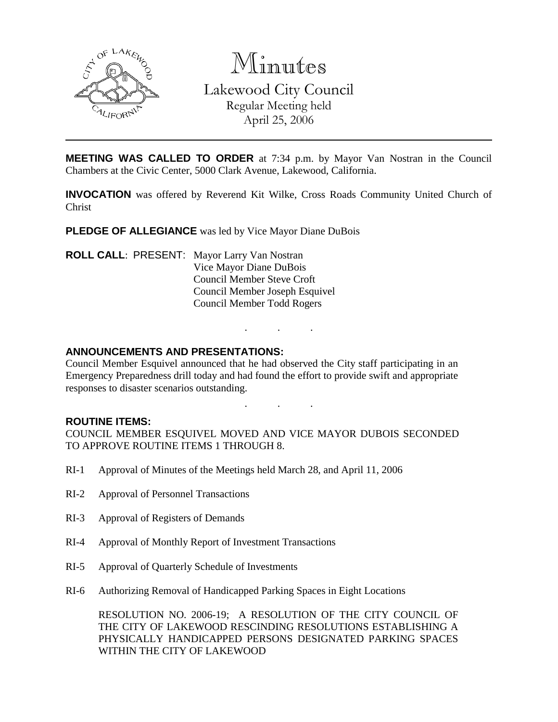

Minutes Lakewood City Council Regular Meeting held April 25, 2006

**MEETING WAS CALLED TO ORDER** at 7:34 p.m. by Mayor Van Nostran in the Council Chambers at the Civic Center, 5000 Clark Avenue, Lakewood, California.

**INVOCATION** was offered by Reverend Kit Wilke, Cross Roads Community United Church of Christ

**PLEDGE OF ALLEGIANCE** was led by Vice Mayor Diane DuBois

**ROLL CALL**: PRESENT: Mayor Larry Van Nostran Vice Mayor Diane DuBois Council Member Steve Croft Council Member Joseph Esquivel Council Member Todd Rogers

### **ANNOUNCEMENTS AND PRESENTATIONS:**

Council Member Esquivel announced that he had observed the City staff participating in an Emergency Preparedness drill today and had found the effort to provide swift and appropriate responses to disaster scenarios outstanding.

. . .

. . .

#### **ROUTINE ITEMS:**

COUNCIL MEMBER ESQUIVEL MOVED AND VICE MAYOR DUBOIS SECONDED TO APPROVE ROUTINE ITEMS 1 THROUGH 8.

- RI-1 Approval of Minutes of the Meetings held March 28, and April 11, 2006
- RI-2 Approval of Personnel Transactions
- RI-3 Approval of Registers of Demands
- RI-4 Approval of Monthly Report of Investment Transactions
- RI-5 Approval of Quarterly Schedule of Investments
- RI-6 Authorizing Removal of Handicapped Parking Spaces in Eight Locations

RESOLUTION NO. 2006-19; A RESOLUTION OF THE CITY COUNCIL OF THE CITY OF LAKEWOOD RESCINDING RESOLUTIONS ESTABLISHING A PHYSICALLY HANDICAPPED PERSONS DESIGNATED PARKING SPACES WITHIN THE CITY OF LAKEWOOD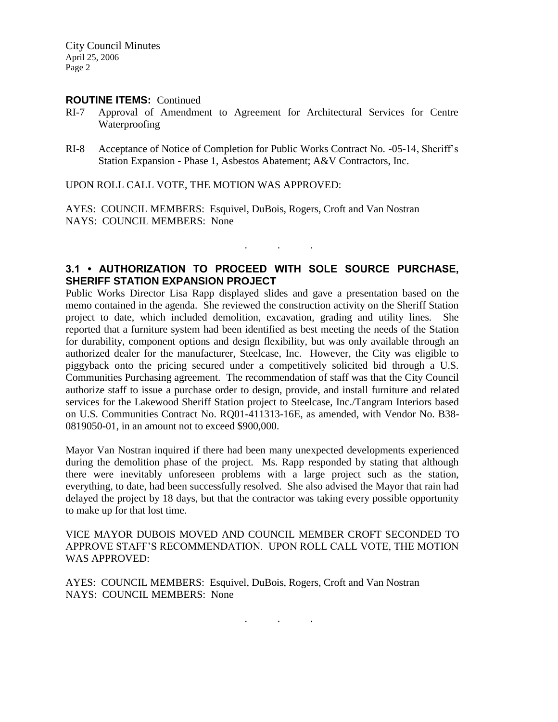#### **ROUTINE ITEMS:** Continued

- RI-7 Approval of Amendment to Agreement for Architectural Services for Centre Waterproofing
- RI-8 Acceptance of Notice of Completion for Public Works Contract No. -05-14, Sheriff's Station Expansion - Phase 1, Asbestos Abatement; A&V Contractors, Inc.

UPON ROLL CALL VOTE, THE MOTION WAS APPROVED:

AYES: COUNCIL MEMBERS: Esquivel, DuBois, Rogers, Croft and Van Nostran NAYS: COUNCIL MEMBERS: None

# **3.1 • AUTHORIZATION TO PROCEED WITH SOLE SOURCE PURCHASE, SHERIFF STATION EXPANSION PROJECT**

. . .

Public Works Director Lisa Rapp displayed slides and gave a presentation based on the memo contained in the agenda. She reviewed the construction activity on the Sheriff Station project to date, which included demolition, excavation, grading and utility lines. She reported that a furniture system had been identified as best meeting the needs of the Station for durability, component options and design flexibility, but was only available through an authorized dealer for the manufacturer, Steelcase, Inc. However, the City was eligible to piggyback onto the pricing secured under a competitively solicited bid through a U.S. Communities Purchasing agreement. The recommendation of staff was that the City Council authorize staff to issue a purchase order to design, provide, and install furniture and related services for the Lakewood Sheriff Station project to Steelcase, Inc./Tangram Interiors based on U.S. Communities Contract No. RQ01-411313-16E, as amended, with Vendor No. B38- 0819050-01, in an amount not to exceed \$900,000.

Mayor Van Nostran inquired if there had been many unexpected developments experienced during the demolition phase of the project. Ms. Rapp responded by stating that although there were inevitably unforeseen problems with a large project such as the station, everything, to date, had been successfully resolved. She also advised the Mayor that rain had delayed the project by 18 days, but that the contractor was taking every possible opportunity to make up for that lost time.

VICE MAYOR DUBOIS MOVED AND COUNCIL MEMBER CROFT SECONDED TO APPROVE STAFF'S RECOMMENDATION. UPON ROLL CALL VOTE, THE MOTION WAS APPROVED:

AYES: COUNCIL MEMBERS: Esquivel, DuBois, Rogers, Croft and Van Nostran NAYS: COUNCIL MEMBERS: None

. . .